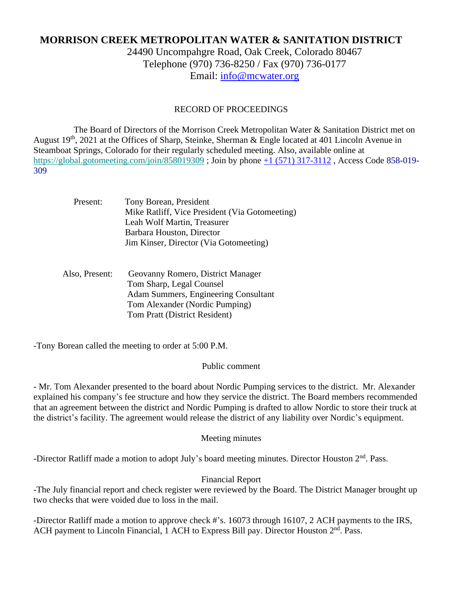# **MORRISON CREEK METROPOLITAN WATER & SANITATION DISTRICT**

24490 Uncompahgre Road, Oak Creek, Colorado 80467 Telephone (970) 736-8250 / Fax (970) 736-0177 Email: [info@mcwater.org](mailto:info@mcwater.org)

## RECORD OF PROCEEDINGS

 The Board of Directors of the Morrison Creek Metropolitan Water & Sanitation District met on August 19<sup>th</sup>, 2021 at the Offices of Sharp, Steinke, Sherman & Engle located at 401 Lincoln Avenue in Steamboat Springs, Colorado for their regularly scheduled meeting. Also, available online at https://global.gotomeeting.com/join/858019309; Join by phone +1 (571) 317-3112, Access Code 858-019-309

| Present:       | Tony Borean, President<br>Mike Ratliff, Vice President (Via Gotomeeting)<br>Leah Wolf Martin, Treasurer<br>Barbara Houston, Director<br>Jim Kinser, Director (Via Gotomeeting) |
|----------------|--------------------------------------------------------------------------------------------------------------------------------------------------------------------------------|
| Also, Present: | Geovanny Romero, District Manager<br>Tom Sharp, Legal Counsel<br>Adam Summers, Engineering Consultant<br>Tom Alexander (Nordic Pumping)<br>Tom Pratt (District Resident)       |

-Tony Borean called the meeting to order at 5:00 P.M.

#### Public comment

- Mr. Tom Alexander presented to the board about Nordic Pumping services to the district. Mr. Alexander explained his company's fee structure and how they service the district. The Board members recommended that an agreement between the district and Nordic Pumping is drafted to allow Nordic to store their truck at the district's facility. The agreement would release the district of any liability over Nordic's equipment.

# Meeting minutes

-Director Ratliff made a motion to adopt July's board meeting minutes. Director Houston 2<sup>nd</sup>. Pass.

#### Financial Report

-The July financial report and check register were reviewed by the Board. The District Manager brought up two checks that were voided due to loss in the mail.

-Director Ratliff made a motion to approve check #'s. 16073 through 16107, 2 ACH payments to the IRS, ACH payment to Lincoln Financial, 1 ACH to Express Bill pay. Director Houston 2<sup>nd</sup>. Pass.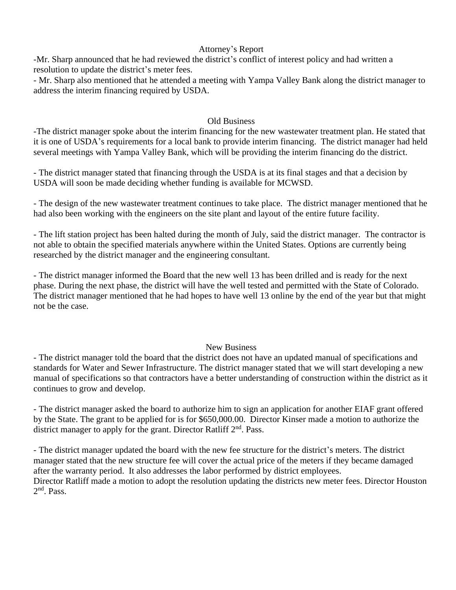## Attorney's Report

-Mr. Sharp announced that he had reviewed the district's conflict of interest policy and had written a resolution to update the district's meter fees.

- Mr. Sharp also mentioned that he attended a meeting with Yampa Valley Bank along the district manager to address the interim financing required by USDA.

#### Old Business

-The district manager spoke about the interim financing for the new wastewater treatment plan. He stated that it is one of USDA's requirements for a local bank to provide interim financing. The district manager had held several meetings with Yampa Valley Bank, which will be providing the interim financing do the district.

- The district manager stated that financing through the USDA is at its final stages and that a decision by USDA will soon be made deciding whether funding is available for MCWSD.

- The design of the new wastewater treatment continues to take place. The district manager mentioned that he had also been working with the engineers on the site plant and layout of the entire future facility.

- The lift station project has been halted during the month of July, said the district manager. The contractor is not able to obtain the specified materials anywhere within the United States. Options are currently being researched by the district manager and the engineering consultant.

- The district manager informed the Board that the new well 13 has been drilled and is ready for the next phase. During the next phase, the district will have the well tested and permitted with the State of Colorado. The district manager mentioned that he had hopes to have well 13 online by the end of the year but that might not be the case.

#### New Business

- The district manager told the board that the district does not have an updated manual of specifications and standards for Water and Sewer Infrastructure. The district manager stated that we will start developing a new manual of specifications so that contractors have a better understanding of construction within the district as it continues to grow and develop.

- The district manager asked the board to authorize him to sign an application for another EIAF grant offered by the State. The grant to be applied for is for \$650,000.00. Director Kinser made a motion to authorize the district manager to apply for the grant. Director Ratliff 2<sup>nd</sup>. Pass.

- The district manager updated the board with the new fee structure for the district's meters. The district manager stated that the new structure fee will cover the actual price of the meters if they became damaged after the warranty period. It also addresses the labor performed by district employees. Director Ratliff made a motion to adopt the resolution updating the districts new meter fees. Director Houston 2<sup>nd</sup>. Pass.